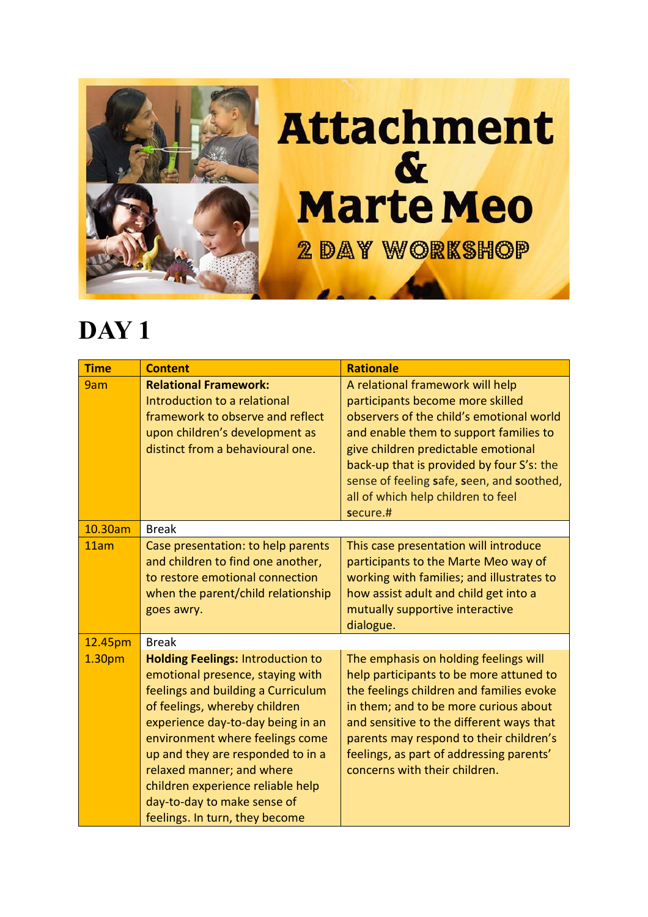

## **Attachment**  $\boldsymbol{\alpha}$ **Marte Meo 2 DAY WORKSHOP**

## **DAY 1**

| <b>Time</b>        | <b>Content</b>                                                                                                                                                                                                                                                                                                                                                                                      | <b>Rationale</b>                                                                                                                                                                                                                                                                                                                              |
|--------------------|-----------------------------------------------------------------------------------------------------------------------------------------------------------------------------------------------------------------------------------------------------------------------------------------------------------------------------------------------------------------------------------------------------|-----------------------------------------------------------------------------------------------------------------------------------------------------------------------------------------------------------------------------------------------------------------------------------------------------------------------------------------------|
| 9am                | <b>Relational Framework:</b><br>Introduction to a relational<br>framework to observe and reflect<br>upon children's development as<br>distinct from a behavioural one.                                                                                                                                                                                                                              | A relational framework will help<br>participants become more skilled<br>observers of the child's emotional world<br>and enable them to support families to<br>give children predictable emotional<br>back-up that is provided by four S's: the<br>sense of feeling safe, seen, and soothed,<br>all of which help children to feel<br>secure.# |
| 10.30am            | <b>Break</b>                                                                                                                                                                                                                                                                                                                                                                                        |                                                                                                                                                                                                                                                                                                                                               |
| 11am               | Case presentation: to help parents<br>and children to find one another,<br>to restore emotional connection<br>when the parent/child relationship<br>goes awry.                                                                                                                                                                                                                                      | This case presentation will introduce<br>participants to the Marte Meo way of<br>working with families; and illustrates to<br>how assist adult and child get into a<br>mutually supportive interactive<br>dialogue.                                                                                                                           |
| 12.45pm            | <b>Break</b>                                                                                                                                                                                                                                                                                                                                                                                        |                                                                                                                                                                                                                                                                                                                                               |
| 1.30 <sub>pm</sub> | <b>Holding Feelings: Introduction to</b><br>emotional presence, staying with<br>feelings and building a Curriculum<br>of feelings, whereby children<br>experience day-to-day being in an<br>environment where feelings come<br>up and they are responded to in a<br>relaxed manner; and where<br>children experience reliable help<br>day-to-day to make sense of<br>feelings. In turn, they become | The emphasis on holding feelings will<br>help participants to be more attuned to<br>the feelings children and families evoke<br>in them; and to be more curious about<br>and sensitive to the different ways that<br>parents may respond to their children's<br>feelings, as part of addressing parents'<br>concerns with their children.     |